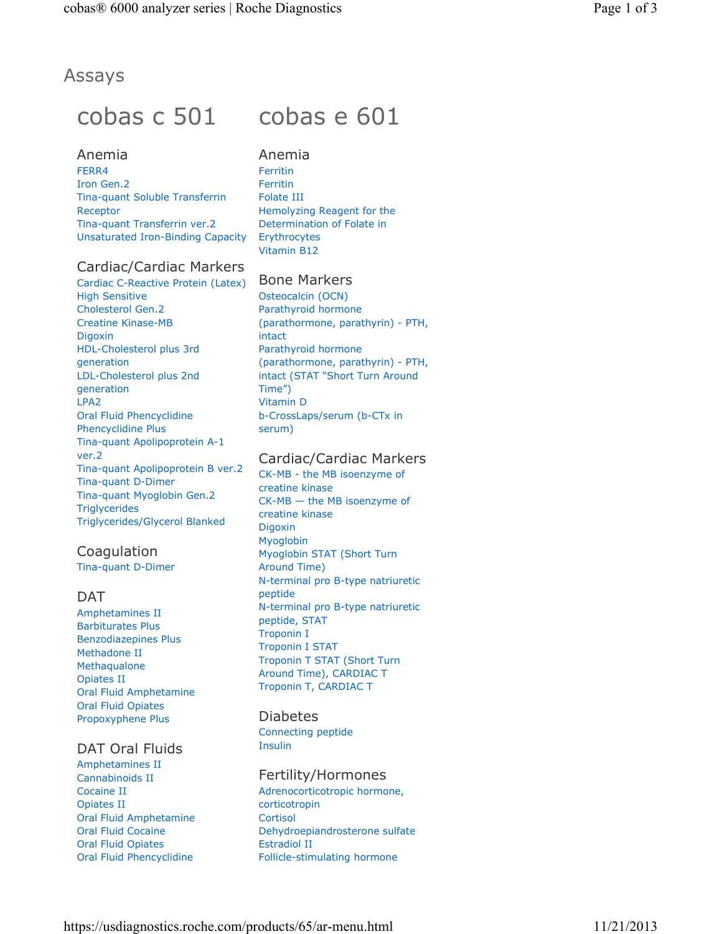# Anemia

FERR4 Iron Gen.2 Tina-quant Soluble Transferrin Receptor Tina-quant Transferrin ver.2 Unsaturated Iron-Binding Capacity

# Cardiac/Cardiac Markers

Cardiac C-Reactive Protein (Latex) High Sensitive Cholesterol Gen.2 Creatine Kinase-MB Digoxin HDL-Cholesterol plus 3rd generation LDL-Cholesterol plus 2nd generation LPA2 Oral Fluid Phencyclidine Phencyclidine Plus Tina-quant Apolipoprotein A-1 ver.2 Tina-quant Apolipoprotein B ver.2 Tina-quant D-Dimer Tina-quant Myoglobin Gen.2 **Triglycerides** Triglycerides/Glycerol Blanked

# Coagulation

Tina-quant D-Dimer

# DAT

Amphetamines II Barbiturates Plus Benzodiazepines Plus Methadone II **Methaqualone** Opiates II Oral Fluid Amphetamine Oral Fluid Opiates Propoxyphene Plus

# DAT Oral Fluids

Amphetamines II Cannabinoids II Cocaine II Opiates II Oral Fluid Amphetamine Oral Fluid Cocaine Oral Fluid Opiates Oral Fluid Phencyclidine

# cobas c 501 cobas e 601

Anemia Ferritin Ferritin Folate III Hemolyzing Reagent for the Determination of Folate in **Erythrocytes** Vitamin B12

# Bone Markers

Osteocalcin (OCN) Parathyroid hormone (parathormone, parathyrin) - PTH, intact Parathyroid hormone (parathormone, parathyrin) - PTH, intact (STAT "Short Turn Around Time") Vitamin D b-CrossLaps/serum (b-CTx in serum)

# Cardiac/Cardiac Markers

CK-MB - the MB isoenzyme of creatine kinase CK-MB — the MB isoenzyme of creatine kinase Digoxin Myoglobin Myoglobin STAT (Short Turn Around Time) N-terminal pro B-type natriuretic peptide N-terminal pro B-type natriuretic peptide, STAT Troponin I Troponin I STAT Troponin T STAT (Short Turn Around Time), CARDIAC T Troponin T, CARDIAC T

#### Diabetes

Connecting peptide Insulin

#### Fertility/Hormones

Adrenocorticotropic hormone, corticotropin **Cortisol** Dehydroepiandrosterone sulfate Estradiol II Follicle-stimulating hormone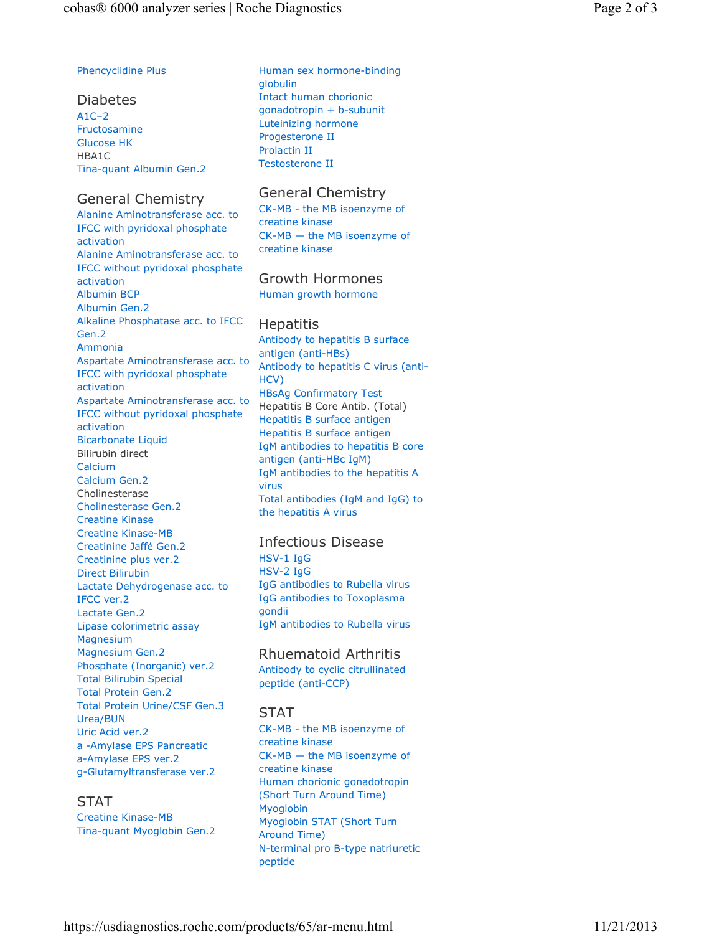#### Phencyclidine Plus

Diabetes A1C–2 Fructosamine Glucose HK HBA1C Tina-quant Albumin Gen.2

#### General Chemistry

Alanine Aminotransferase acc. to IFCC with pyridoxal phosphate activation Alanine Aminotransferase acc. to IFCC without pyridoxal phosphate activation Albumin BCP Albumin Gen.2 Alkaline Phosphatase acc. to IFCC Gen.2 Ammonia Aspartate Aminotransferase acc. to IFCC with pyridoxal phosphate activation Aspartate Aminotransferase acc. to IFCC without pyridoxal phosphate activation Bicarbonate Liquid Bilirubin direct Calcium Calcium Gen.2 Cholinesterase Cholinesterase Gen.2 Creatine Kinase Creatine Kinase-MB Creatinine Jaffé Gen.2 Creatinine plus ver.2 Direct Bilirubin Lactate Dehydrogenase acc. to IFCC ver.2 Lactate Gen.2 Lipase colorimetric assay Magnesium Magnesium Gen.2 Phosphate (Inorganic) ver.2 Total Bilirubin Special Total Protein Gen.2 Total Protein Urine/CSF Gen.3 Urea/BUN Uric Acid ver.2 a -Amylase EPS Pancreatic a-Amylase EPS ver.2 g-Glutamyltransferase ver.2

#### STAT

Creatine Kinase-MB Tina-quant Myoglobin Gen.2 Human sex hormone-binding globulin Intact human chorionic gonadotropin + b-subunit Luteinizing hormone Progesterone II Prolactin II Testosterone II

# General Chemistry

CK-MB - the MB isoenzyme of creatine kinase CK-MB — the MB isoenzyme of creatine kinase

# Growth Hormones

Human growth hormone

#### **Hepatitis**

Antibody to hepatitis B surface antigen (anti-HBs) Antibody to hepatitis C virus (anti-HCV) HBsAg Confirmatory Test Hepatitis B Core Antib. (Total) Hepatitis B surface antigen Hepatitis B surface antigen IgM antibodies to hepatitis B core antigen (anti-HBc IgM) IgM antibodies to the hepatitis A virus Total antibodies (IgM and IgG) to the hepatitis A virus

#### Infectious Disease

HSV-1 IgG HSV-2 IgG IgG antibodies to Rubella virus IgG antibodies to Toxoplasma gondii IgM antibodies to Rubella virus

### Rhuematoid Arthritis

Antibody to cyclic citrullinated peptide (anti-CCP)

#### STAT

CK-MB - the MB isoenzyme of creatine kinase CK-MB — the MB isoenzyme of creatine kinase Human chorionic gonadotropin (Short Turn Around Time) Myoglobin Myoglobin STAT (Short Turn Around Time) N-terminal pro B-type natriuretic peptide